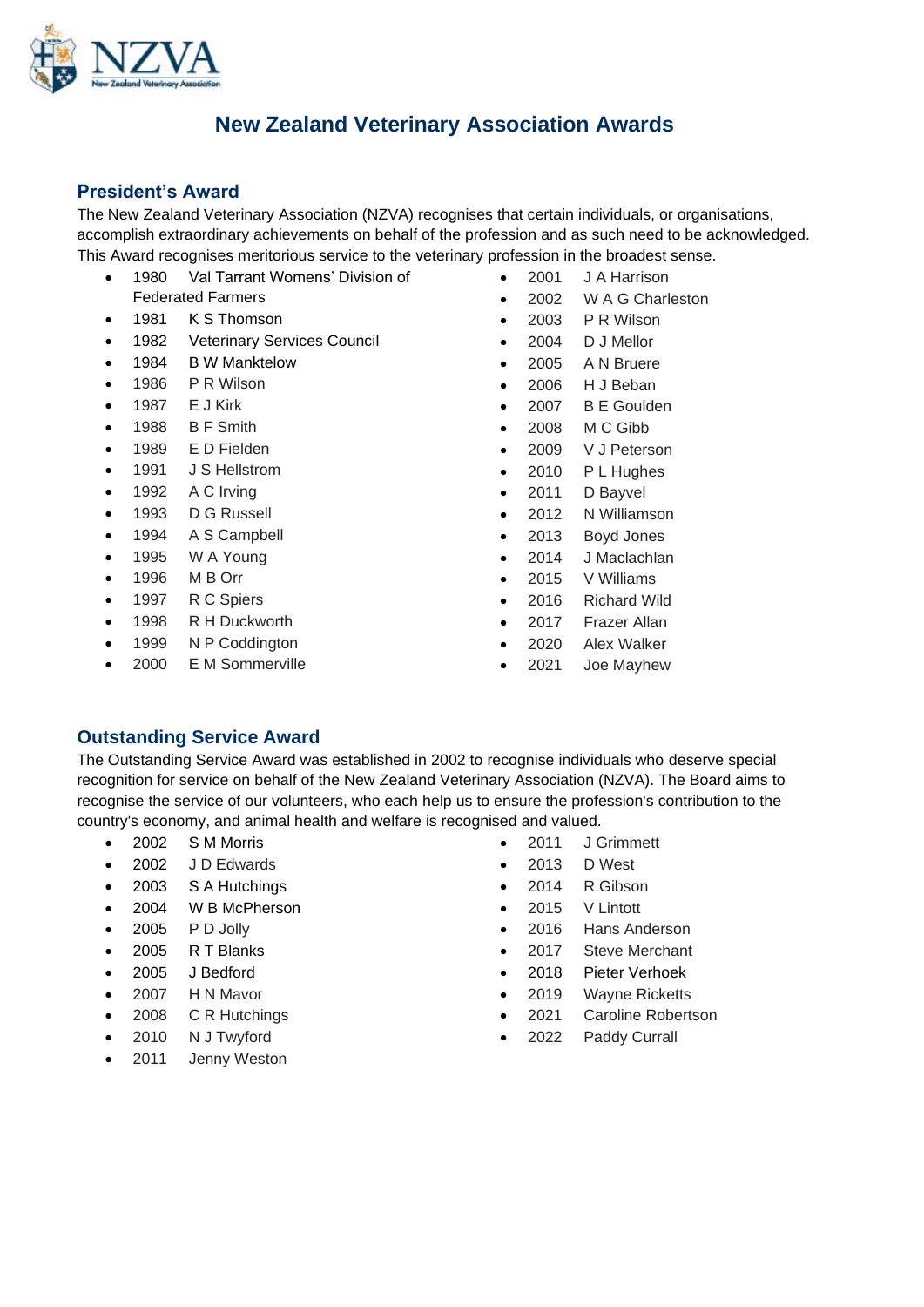

# **New Zealand Veterinary Association Awards**

## **President's Award**

The New Zealand Veterinary Association (NZVA) recognises that certain individuals, or organisations, accomplish extraordinary achievements on behalf of the profession and as such need to be acknowledged. This Award recognises meritorious service to the veterinary profession in the broadest sense.

- 1980 Val Tarrant Womens' Division of Federated Farmers
- 1981 K S Thomson
- 1982 Veterinary Services Council
- 1984 B W Manktelow
- 1986 P R Wilson
- 1987 E J Kirk
- 1988 B F Smith
- 1989 E D Fielden
- 1991 J S Hellstrom
- 1992 A C Irving
- 1993 D G Russell
- 1994 A S Campbell
- 1995 W A Young
- 1996 M B Orr
- 1997 R C Spiers
- 1998 R H Duckworth
- 1999 N P Coddington
- 2000 E M Sommerville
- 2001 J A Harrison
- 2002 W A G Charleston
- 2003 P R Wilson
- 2004 D J Mellor
- 2005 A N Bruere
- 2006 H J Beban
- 2007 B E Goulden
- 2008 M C Gibb
- 2009 V J Peterson
- 2010 P L Hughes
- 2011 D Bayvel
- 2012 N Williamson
- 2013 Boyd Jones
- 2014 J Maclachlan
- 2015 V Williams
- 2016 Richard Wild
- 2017 Frazer Allan
- 2020 Alex Walker
- 2021 Joe Mayhew

### **Outstanding Service Award**

The Outstanding Service Award was established in 2002 to recognise individuals who deserve special recognition for service on behalf of the New Zealand Veterinary Association (NZVA). The Board aims to recognise the service of our volunteers, who each help us to ensure the profession's contribution to the country's economy, and animal health and welfare is recognised and valued.

- 2002 S M Morris
- 2002 J D Edwards
- 2003 S A Hutchings
- 2004 W B McPherson
- $\bullet$  2005 P D Jolly
- 2005 R T Blanks
- 2005 J Bedford
- 2007 H N Mavor
- 2008 C R Hutchings
- 2010 N J Twyford
- 2011 Jenny Weston
- 2011 J Grimmett
- 2013 D West
- 2014 R Gibson
- 2015 V Lintott
- 2016 Hans Anderson
- 2017 Steve Merchant
- 2018 Pieter Verhoek
- 2019 Wayne Ricketts
- 2021 Caroline Robertson
- 2022 Paddy Currall